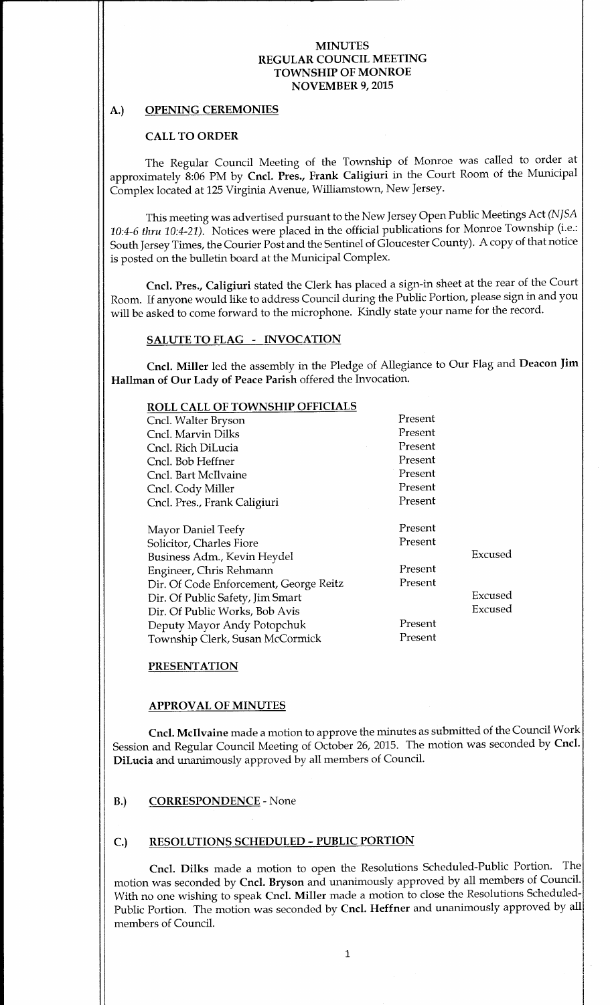# A.) OPENING CEREMONIES

# CALL TO ORDER

The Regular Council Meeting of the Township of Monroe was called to order at approximately 8:06 PM by Cncl. Pres., Frank Caligiuri in the Court Room of the Municipal Complex located at 125 Virginia Avenue, Williamstown, New Jersey.

This meeting was advertised pursuant to the New Jersey Open Public Meetings Act( NJSA 10:4-6 thru 10:4-21). Notices were placed in the official publications for Monroe Township (i.e.: South Jersey Times, the Courier Post and the Sentinel of Gloucester County). A copy of that notice is posted on the bulletin board at the Municipal Complex.

Cncl. Pres., Caligiuri stated the Clerk has placed <sup>a</sup> sign-in sheet at the rear of the Court Room. If anyone would like to address Council during the Public Portion, please sign in and you will be asked to come forward to the microphone. Kindly state your name for the record.

# SALUTE TO FLAG - INVOCATION

Cncl. Miller led the assembly in the Pledge of Allegiance to Our Flag and Deacon Jim Hallman of Our Lady of Peace Parish offered the Invocation.

| ROLL CALL OF TOWNSHIP OFFICIALS        |         |         |
|----------------------------------------|---------|---------|
| Cncl. Walter Bryson                    | Present |         |
| Cncl. Marvin Dilks                     | Present |         |
| Cncl. Rich DiLucia                     | Present |         |
| Cncl. Bob Heffner                      | Present |         |
| Cncl. Bart McIlvaine                   | Present |         |
| Cncl. Cody Miller                      | Present |         |
| Cncl. Pres., Frank Caligiuri           | Present |         |
|                                        |         |         |
| <b>Mayor Daniel Teefy</b>              | Present |         |
| Solicitor, Charles Fiore               | Present |         |
| Business Adm., Kevin Heydel            |         | Excused |
| Engineer, Chris Rehmann                | Present |         |
| Dir. Of Code Enforcement, George Reitz | Present |         |
| Dir. Of Public Safety, Jim Smart       |         | Excused |
| Dir. Of Public Works, Bob Avis         |         | Excused |
| Deputy Mayor Andy Potopchuk            | Present |         |
| Township Clerk, Susan McCormick        | Present |         |
|                                        |         |         |

# PRESENTATION

#### APPROVAL OF MINUTES

Cncl. Mcllvaine made a motion to approve the minutes as submitted of the Council Work Session and Regular Council Meeting of October 26, 2015. The motion was seconded by Cncl. DiLucia and unanimously approved by all members of Council.

#### B.) CORRESPONDENCE - None

# C.) RESOLUTIONS SCHEDULED- PUBLIC PORTION

Cncl. Dilks made <sup>a</sup> motion to open the Resolutions Scheduled-Public Portion. The motion was seconded by Cncl. Bryson and unanimously approved by all members of Council. With no one wishing to speak Cncl. Miller made <sup>a</sup> motion to close the Resolutions Scheduled-Public Portion. The motion was seconded by Cncl. Heffner and unanimously approved by all members of Council.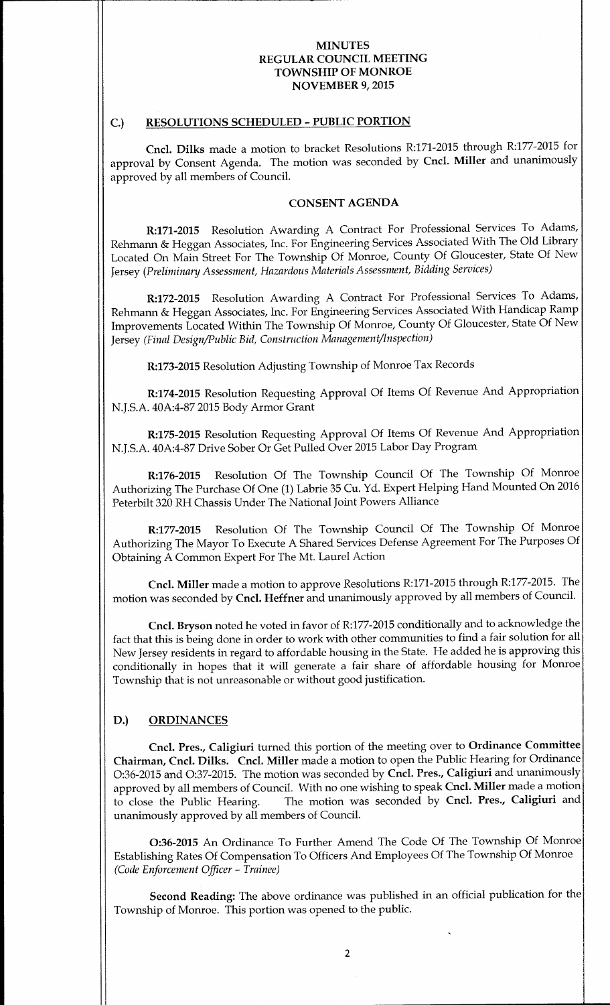### C.) RESOLUTIONS SCHEDULED - PUBLIC PORTION

Cncl. Dilks made <sup>a</sup> motion to bracket Resolutions R:171- 2015 through R:177-2015 for approval by Consent Agenda. The motion was seconded by Cncl. Miller and unanimously approved by all members of Council.

#### CONSENT AGENDA

R:171-2015 Resolution Awarding A Contract For Professional Services To Adams, Rehmann& Heggan Associates, Inc. For Engineering Services Associated With The Old Library Located On Main Street For The Township Of Monroe, County Of Gloucester, State Of New Jersey (Preliminary Assessment, Hazardous Materials Assessment, Bidding Services)

R:172-2015 Resolution Awarding A Contract For Professional Services To Adams, Rehmann& Heggan Associates, Inc. For Engineering Services Associated With Handicap Ramp Improvements Located Within The Township Of Monroe, County Of Gloucester, State Of New Jersey (Final Design/Public Bid, Construction Management/Inspection)

R:173-2015 Resolution Adjusting Township of Monroe Tax Records

R:174-2015 Resolution Requesting Approval Of Items Of Revenue And Appropriation N.J.S.A. 40A:4-87 2015 Body Armor Grant

R:175-2015 Resolution Requesting Approval Of Items Of Revenue And Appropriation N.J.S.A. 40A:4-87 Drive Sober Or Get Pulled Over 2015 Labor Day Program

R:176-2015 Resolution Of The Township Council Of The Township Of Monroe Authorizing The Purchase Of One (1) Labrie 35 Cu. Yd. Expert Helping Hand Mounted On 2016 Peterbilt 320 RH Chassis Under The National Joint Powers Alliance

R:177-2015 Resolution Of The Township Council Of The Township Of Monroe Authorizing The Mayor To Execute A Shared Services Defense Agreement For The Purposes Of Obtaining A Common Expert For The Mt. Laurel Action

Cncl. Miller made <sup>a</sup> motion to approve Resolutions R:171- 2015 through R:177-2015. The motion was seconded by Cncl. Heffner and unanimously approved by all members of Council.

Cncl. Bryson noted he voted in favor of R:177-2015 conditionally and to acknowledge the fact that this is being done in order to work with other communities to find <sup>a</sup> fair solution for all New Jersey residents in regard to affordable housing in the State. He added he is approving this conditionally in hopes that it will generate <sup>a</sup> fair share of affordable housing for Monroe Township that is not unreasonable or without good justification.

### D.) ORDINANCES

Cncl. Pres., Caligiuri turned this portion of the meeting over to Ordinance Committee Chairman, Cncl. Dilks. Cncl. Miller made <sup>a</sup> motion to open the Public Hearing for Ordinance 0:36- <sup>2015</sup> and 0:37-2015. The motion was seconded by Cncl. Pres., Caligiuri and unanimously approved by all members of Council. With no one wishing to speak Cncl. Miller made a motion to close the Public Hearing. The motion was seconded by Cncl. Pres., Caligiuri and The motion was seconded by Cncl. Pres., Caligiuri and unanimously approved by all members of Council.

O:36-2015 An Ordinance To Further Amend The Code Of The Township Of Monroe Establishing Rates Of Compensation To Officers And Employees Of The Township Of Monroe Code Enforcement Officer- Trainee)

Second Reading: The above ordinance was published in an official publication for the Township of Monroe. This portion was opened to the public.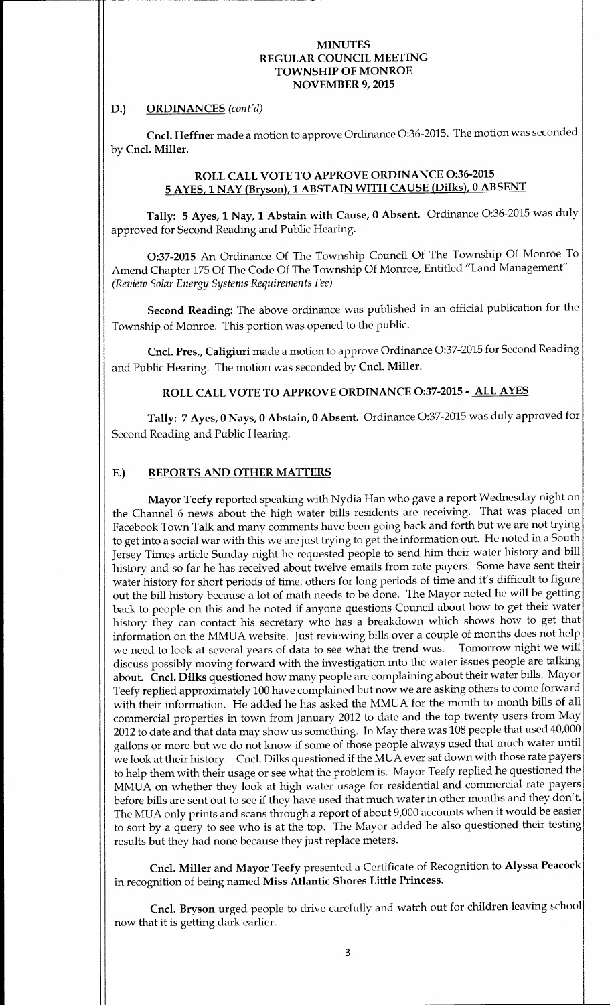### D.) ORDINANCES (cont'd)

Cncl. Heffner made <sup>a</sup> motion to approve Ordinance 0:36- 2015. The motion was seconded by Cncl. Miller.

# ROLL CALL VOTE TO APPROVE ORDINANCE O:36-2015 <sup>5</sup> AYES, <sup>1</sup> NAY (Bryson), <sup>1</sup> ABSTAIN WITH CAUSE (Dilks), <sup>0</sup> ABSENT

Tally: 5 Ayes, 1 Nay, 1 Abstain with Cause, 0 Absent. Ordinance 0:36-2015 was duly approved for Second Reading and Public Hearing.

0:37- <sup>2015</sup> An Ordinance Of The Township Council Of The Township Of Monroe To Amend Chapter 175 Of The Code Of The Township Of Monroe, Entitled" Land Management" Review Solar Energy Systems Requirements Fee)

Second Reading: The above ordinance was published in an official publication for the Township of Monroe. This portion was opened to the public.

Cncl. Pres., Caligiuri made <sup>a</sup> motion to approve Ordinance 0:37-2015 for Second Reading and Public Hearing. The motion was seconded by Cncl. Miller.

# ROLL CALL VOTE TO APPROVE ORDINANCE 0:37-2015- ALL AYES

Tally: 7 Ayes, <sup>0</sup> Nays, <sup>0</sup> Abstain, <sup>0</sup> Absent. Ordinance 0:37-2015 was duly approved for Second Reading and Public Hearing.

### E.) REPORTS AND OTHER MATTERS

Mayor Teefy reported speaking with Nydia Han who gave <sup>a</sup> report Wednesday night on the Channel <sup>6</sup> news about the high water bills residents are receiving. That was placed on Facebook Town Talk and many comments have been going back and forth but we are not trying to get into a social war with this we are just trying to get the information out. He noted in a South Jersey Times article Sunday night he requested people to send him their water history and bill history and so far he has received about twelve emails from rate payers. Some have sent their water history for short periods of time, others for long periods of time and it's difficult to figure out the bill history because <sup>a</sup> lot of math needs to be done. The Mayor noted he will be getting back to people on this and he noted if anyone questions Council about how to get their water history they can contact his secretary who has <sup>a</sup> breakdown which shows how to get that information on the MMUA website. Just reviewing bills over a couple of months does not help<br>we need to look at several years of data to see what the trend was. Tomorrow night we will we need to look at several years of data to see what the trend was. discuss possibly moving forward with the investigation into the water issues people are talking about. Cncl. Dilks questioned how many people are complaining about their water bills. Mayor Teefy replied approximately 100 have complained but now we are asking others to come forward with their information. He added he has asked the MMUA for the month to month bills of all commercial properties in town from January 2012 to date and the top twenty users from May 2012 to date and that data may show us something. In May there was 108 people that used 40,000 gallons or more but we do not know if some of those people always used that much water until we look at their history. Cncl. Dilks questioned if the MUA ever sat down with those rate payers to help them with their usage or see what the problem is. Mayor Teefy replied he questioned the MMUA on whether they look at high water usage for residential and commercial rate payers before bills are sent out to see if they have used that much water in other months and they don't. The MUA only prints and scans through <sup>a</sup> report of about 9,000 accounts when it would be easier to sort by <sup>a</sup> query to see who is at the top. The Mayor added he also questioned their testing results but they had none because they just replace meters.

Cncl. Miller and Mayor Teefy presented <sup>a</sup> Certificate of Recognition to Alyssa Peacock in recognition of being named Miss Atlantic Shores Little Princess.

Cncl. Bryson urged people to drive carefully and watch out for children leaving school now that it is getting dark earlier.